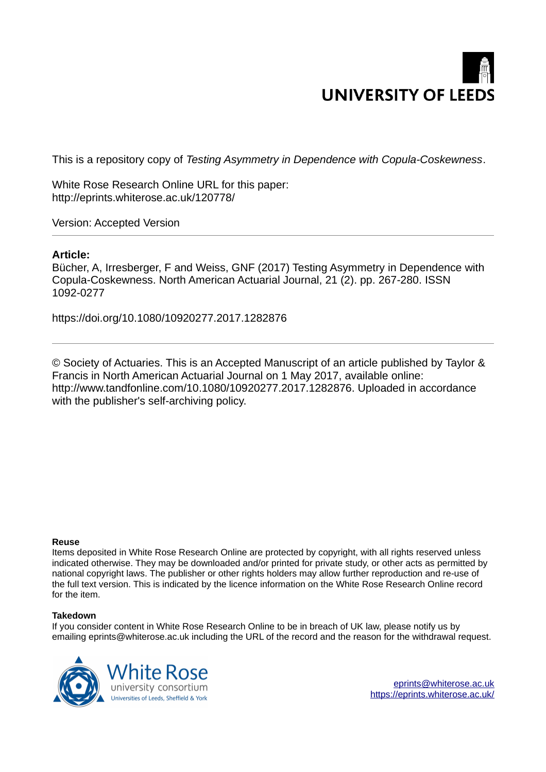# **UNIVERSITY OF LEEDS**

This is a repository copy of *Testing Asymmetry in Dependence with Copula-Coskewness*.

White Rose Research Online URL for this paper: http://eprints.whiterose.ac.uk/120778/

Version: Accepted Version

# **Article:**

Bücher, A, Irresberger, F and Weiss, GNF (2017) Testing Asymmetry in Dependence with Copula-Coskewness. North American Actuarial Journal, 21 (2). pp. 267-280. ISSN 1092-0277

https://doi.org/10.1080/10920277.2017.1282876

© Society of Actuaries. This is an Accepted Manuscript of an article published by Taylor & Francis in North American Actuarial Journal on 1 May 2017, available online: http://www.tandfonline.com/10.1080/10920277.2017.1282876. Uploaded in accordance with the publisher's self-archiving policy.

# **Reuse**

Items deposited in White Rose Research Online are protected by copyright, with all rights reserved unless indicated otherwise. They may be downloaded and/or printed for private study, or other acts as permitted by national copyright laws. The publisher or other rights holders may allow further reproduction and re-use of the full text version. This is indicated by the licence information on the White Rose Research Online record for the item.

# **Takedown**

If you consider content in White Rose Research Online to be in breach of UK law, please notify us by emailing eprints@whiterose.ac.uk including the URL of the record and the reason for the withdrawal request.



[eprints@whiterose.ac.uk](mailto:eprints@whiterose.ac.uk) <https://eprints.whiterose.ac.uk/>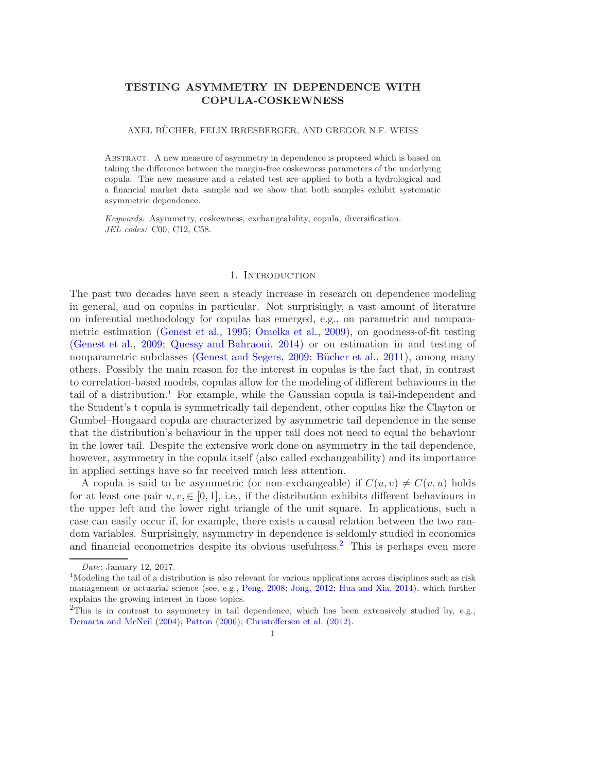# TESTING ASYMMETRY IN DEPENDENCE WITH COPULA-COSKEWNESS

### AXEL BÜCHER, FELIX IRRESBERGER, AND GREGOR N.F. WEISS

Abstract. A new measure of asymmetry in dependence is proposed which is based on taking the difference between the margin-free coskewness parameters of the underlying copula. The new measure and a related test are applied to both a hydrological and a financial market data sample and we show that both samples exhibit systematic asymmetric dependence.

Keywords: Asymmetry, coskewness, exchangeability, copula, diversification. JEL codes: C00, C12, C58.

### <span id="page-1-1"></span>1. INTRODUCTION

The past two decades have seen a steady increase in research on dependence modeling in general, and on copulas in particular. Not surprisingly, a vast amount of literature on inferential methodology for copulas has emerged, e.g., on parametric and nonparametric estimation [\(Genest et al.](#page-17-0), [1995](#page-17-0); [Omelka et al.,](#page-18-0) [2009\)](#page-18-0), on goodness-of-fit testing [\(Genest et al.](#page-17-1), [2009](#page-17-1); [Quessy and Bahraoui](#page-18-1), [2014](#page-18-1)) or on estimation in and testing of nonparametric subclasses [\(Genest and Segers](#page-17-2), [2009](#page-17-2); Bücher et al., [2011\)](#page-17-3), among many others. Possibly the main reason for the interest in copulas is the fact that, in contrast to correlation-based models, copulas allow for the modeling of different behaviours in the tail of a distribution.<sup>1</sup> For example, while the Gaussian copula is tail-independent and the Student's t copula is symmetrically tail dependent, other copulas like the Clayton or Gumbel–Hougaard copula are characterized by asymmetric tail dependence in the sense that the distribution's behaviour in the upper tail does not need to equal the behaviour in the lower tail. Despite the extensive work done on asymmetry in the tail dependence, however, asymmetry in the copula itself (also called exchangeability) and its importance in applied settings have so far received much less attention.

<span id="page-1-0"></span>A copula is said to be asymmetric (or non-exchangeable) if  $C(u, v) \neq C(v, u)$  holds for at least one pair  $u, v \in [0, 1]$ , i.e., if the distribution exhibits different behaviours in the upper left and the lower right triangle of the unit square. In applications, such a case can easily occur if, for example, there exists a causal relation between the two random variables. Surprisingly, asymmetry in dependence is seldomly studied in economics and financial econometrics despite its obvious usefulness.<sup>2</sup> This is perhaps even more

Date: January 12, 2017.

<sup>1</sup>Modeling the tail of a distribution is also relevant for various applications across disciplines such as risk management or actuarial science (see, e.g., [Peng](#page-18-2), [2008](#page-18-2); [Jong](#page-18-3), [2012;](#page-18-3) [Hua and Xia](#page-18-4), [2014\)](#page-18-4), which further explains the growing interest in those topics.

 $2$ This is in contrast to asymmetry in tail dependence, which has been extensively studied by, e.g., [Demarta and McNeil](#page-17-4) [\(2004](#page-17-4)); [Patton](#page-18-5) [\(2006](#page-18-5)); [Christoffersen et al.](#page-17-5) [\(2012\)](#page-17-5).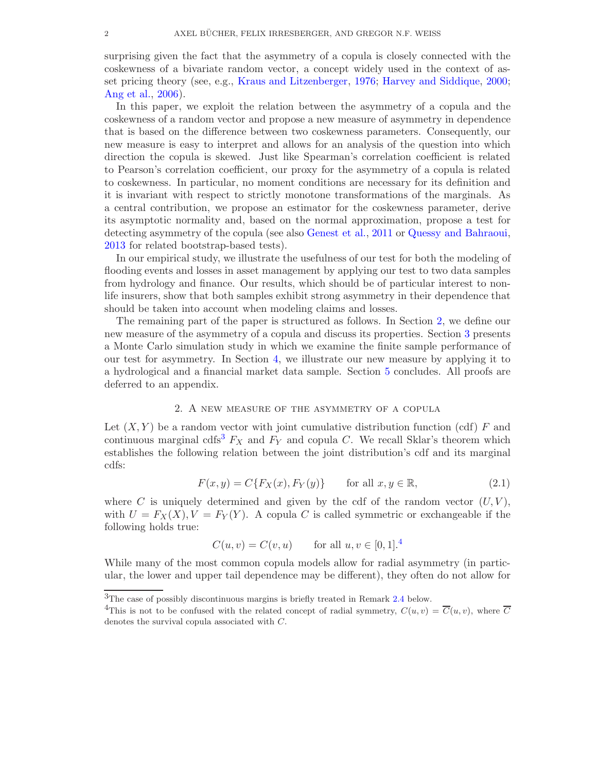surprising given the fact that the asymmetry of a copula is closely connected with the coskewness of a bivariate random vector, a concept widely used in the context of asset pricing theory (see, e.g., [Kraus and Litzenberger,](#page-18-6) [1976](#page-18-6); [Harvey and Siddique](#page-17-6), [2000;](#page-17-6) [Ang et al.,](#page-17-7) [2006](#page-17-7)).

In this paper, we exploit the relation between the asymmetry of a copula and the coskewness of a random vector and propose a new measure of asymmetry in dependence that is based on the difference between two coskewness parameters. Consequently, our new measure is easy to interpret and allows for an analysis of the question into which direction the copula is skewed. Just like Spearman's correlation coefficient is related to Pearson's correlation coefficient, our proxy for the asymmetry of a copula is related to coskewness. In particular, no moment conditions are necessary for its definition and it is invariant with respect to strictly monotone transformations of the marginals. As a central contribution, we propose an estimator for the coskewness parameter, derive its asymptotic normality and, based on the normal approximation, propose a test for detecting asymmetry of the copula (see also [Genest et al.](#page-17-8), [2011](#page-17-8) or [Quessy and Bahraoui,](#page-18-7) [2013](#page-18-7) for related bootstrap-based tests).

In our empirical study, we illustrate the usefulness of our test for both the modeling of flooding events and losses in asset management by applying our test to two data samples from hydrology and finance. Our results, which should be of particular interest to nonlife insurers, show that both samples exhibit strong asymmetry in their dependence that should be taken into account when modeling claims and losses.

The remaining part of the paper is structured as follows. In Section [2,](#page-1-0) we define our new measure of the asymmetry of a copula and discuss its properties. Section [3](#page-7-0) presents a Monte Carlo simulation study in which we examine the finite sample performance of our test for asymmetry. In Section [4,](#page-8-0) we illustrate our new measure by applying it to a hydrological and a financial market data sample. Section [5](#page-14-0) concludes. All proofs are deferred to an appendix.

### 2. A new measure of the asymmetry of a copula

Let  $(X, Y)$  be a random vector with joint cumulative distribution function (cdf) F and continuous marginal cdfs<sup>3</sup>  $F_X$  and  $F_Y$  and copula C. We recall Sklar's theorem which establishes the following relation between the joint distribution's cdf and its marginal cdfs:

$$
F(x,y) = C\{F_X(x), F_Y(y)\} \qquad \text{for all } x, y \in \mathbb{R}, \tag{2.1}
$$

where  $C$  is uniquely determined and given by the cdf of the random vector  $(U, V)$ , with  $U = F_X(X), V = F_Y(Y)$ . A copula C is called symmetric or exchangeable if the following holds true:

$$
C(u, v) = C(v, u)
$$
 for all  $u, v \in [0, 1]$ .<sup>4</sup>

While many of the most common copula models allow for radial asymmetry (in particular, the lower and upper tail dependence may be different), they often do not allow for

<sup>3</sup>The case of possibly discontinuous margins is briefly treated in Remark [2.4](#page-6-0) below.

<sup>&</sup>lt;sup>4</sup>This is not to be confused with the related concept of radial symmetry,  $C(u, v) = \overline{C}(u, v)$ , where  $\overline{C}$ denotes the survival copula associated with C.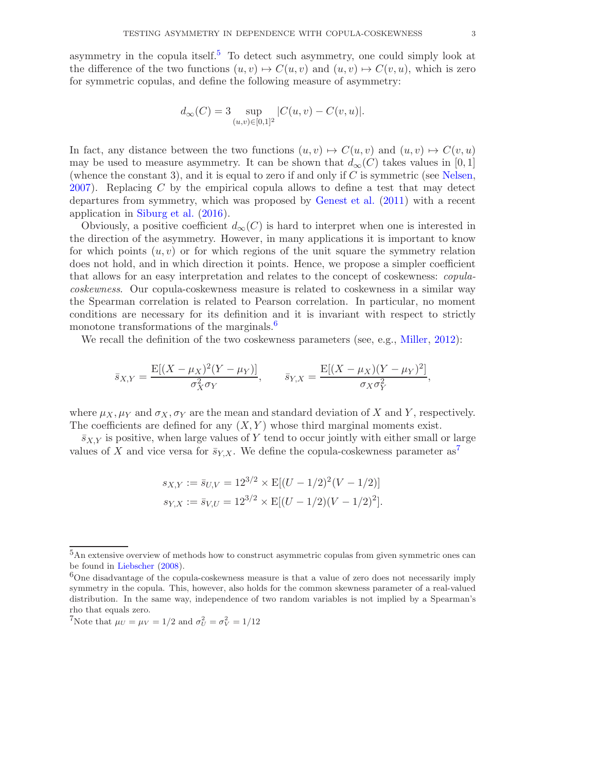asymmetry in the copula itself.<sup>5</sup> To detect such asymmetry, one could simply look at the difference of the two functions  $(u, v) \mapsto C(u, v)$  and  $(u, v) \mapsto C(v, u)$ , which is zero for symmetric copulas, and define the following measure of asymmetry:

$$
d_{\infty}(C) = 3 \sup_{(u,v) \in [0,1]^2} |C(u,v) - C(v,u)|.
$$

In fact, any distance between the two functions  $(u, v) \mapsto C(u, v)$  and  $(u, v) \mapsto C(v, u)$ may be used to measure asymmetry. It can be shown that  $d_{\infty}(C)$  takes values in [0, 1] (whence the constant 3), and it is equal to zero if and only if  $C$  is symmetric (see [Nelsen](#page-18-8), [2007](#page-18-8)). Replacing  $C$  by the empirical copula allows to define a test that may detect departures from symmetry, which was proposed by [Genest et al.](#page-17-8) [\(2011](#page-17-8)) with a recent application in [Siburg et al.](#page-18-9) [\(2016](#page-18-9)).

Obviously, a positive coefficient  $d_{\infty}(C)$  is hard to interpret when one is interested in the direction of the asymmetry. However, in many applications it is important to know for which points  $(u, v)$  or for which regions of the unit square the symmetry relation does not hold, and in which direction it points. Hence, we propose a simpler coefficient that allows for an easy interpretation and relates to the concept of coskewness: copulacoskewness. Our copula-coskewness measure is related to coskewness in a similar way the Spearman correlation is related to Pearson correlation. In particular, no moment conditions are necessary for its definition and it is invariant with respect to strictly monotone transformations of the marginals.<sup>6</sup>

We recall the definition of the two coskewness parameters (see, e.g., [Miller,](#page-18-10) [2012](#page-18-10)):

$$
\bar{s}_{X,Y} = \frac{\mathbb{E}[(X - \mu_X)^2 (Y - \mu_Y)]}{\sigma_X^2 \sigma_Y}, \qquad \bar{s}_{Y,X} = \frac{\mathbb{E}[(X - \mu_X)(Y - \mu_Y)^2]}{\sigma_X \sigma_Y^2},
$$

where  $\mu_X, \mu_Y$  and  $\sigma_X, \sigma_Y$  are the mean and standard deviation of X and Y, respectively. The coefficients are defined for any  $(X, Y)$  whose third marginal moments exist.

 $\bar{s}_{X,Y}$  is positive, when large values of Y tend to occur jointly with either small or large values of X and vice versa for  $\bar{s}_{Y,X}$ . We define the copula-coskewness parameter as<sup>7</sup>

$$
s_{X,Y} := \bar{s}_{U,V} = 12^{3/2} \times E[(U - 1/2)^2 (V - 1/2)]
$$
  
\n
$$
s_{Y,X} := \bar{s}_{V,U} = 12^{3/2} \times E[(U - 1/2)(V - 1/2)^2].
$$

<sup>5</sup>An extensive overview of methods how to construct asymmetric copulas from given symmetric ones can be found in [Liebscher](#page-18-11) [\(2008](#page-18-11)).

 $6$ One disadvantage of the copula-coskewness measure is that a value of zero does not necessarily imply symmetry in the copula. This, however, also holds for the common skewness parameter of a real-valued distribution. In the same way, independence of two random variables is not implied by a Spearman's rho that equals zero.

<sup>&</sup>lt;sup>7</sup>Note that  $\mu_U = \mu_V = 1/2$  and  $\sigma_U^2 = \sigma_V^2 = 1/12$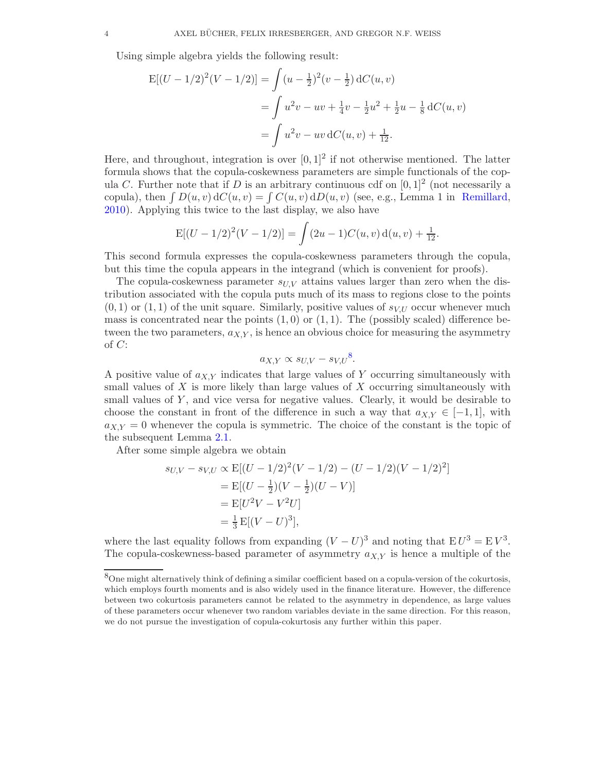Using simple algebra yields the following result:

$$
E[(U - 1/2)2(V - 1/2)] = \int (u - \frac{1}{2})^{2} (v - \frac{1}{2}) dC(u, v)
$$
  
= 
$$
\int u^{2}v - uv + \frac{1}{4}v - \frac{1}{2}u^{2} + \frac{1}{2}u - \frac{1}{8} dC(u, v)
$$
  
= 
$$
\int u^{2}v - uv dC(u, v) + \frac{1}{12}.
$$

Here, and throughout, integration is over  $[0,1]^2$  if not otherwise mentioned. The latter formula shows that the copula-coskewness parameters are simple functionals of the copula C. Further note that if D is an arbitrary continuous cdf on  $[0,1]^2$  (not necessarily a copula), then  $\int D(u, v) dC(u, v) = \int C(u, v) dD(u, v)$  (see, e.g., Lemma 1 in [Remillard,](#page-18-12) [2010\)](#page-18-12). Applying this twice to the last display, we also have

<span id="page-4-1"></span>
$$
E[(U - 1/2)2(V - 1/2)] = \int (2u - 1)C(u, v) d(u, v) + \frac{1}{12}.
$$

This second formula expresses the copula-coskewness parameters through the copula, but this time the copula appears in the integrand (which is convenient for proofs).

<span id="page-4-0"></span>The copula-coskewness parameter  $s_{UV}$  attains values larger than zero when the distribution associated with the copula puts much of its mass to regions close to the points  $(0, 1)$  or  $(1, 1)$  of the unit square. Similarly, positive values of  $s_{V,U}$  occur whenever much mass is concentrated near the points  $(1, 0)$  or  $(1, 1)$ . The (possibly scaled) difference between the two parameters,  $a_{X,Y}$ , is hence an obvious choice for measuring the asymmetry of C:

<span id="page-4-2"></span>
$$
a_{X,Y} \propto s_{U,V} - s_{V,U}^8.
$$

A positive value of  $a_{XY}$  indicates that large values of Y occurring simultaneously with small values of  $X$  is more likely than large values of  $X$  occurring simultaneously with small values of  $Y$ , and vice versa for negative values. Clearly, it would be desirable to choose the constant in front of the difference in such a way that  $a_{X,Y} \in [-1,1]$ , with  $a_{X,Y} = 0$  whenever the copula is symmetric. The choice of the constant is the topic of the subsequent Lemma [2.1.](#page-4-0)

After some simple algebra we obtain

$$
s_{U,V} - s_{V,U} \propto \mathbb{E}[(U - 1/2)^2(V - 1/2) - (U - 1/2)(V - 1/2)^2]
$$
  
=  $\mathbb{E}[(U - \frac{1}{2})(V - \frac{1}{2})(U - V)]$   
=  $\mathbb{E}[U^2V - V^2U]$   
=  $\frac{1}{3}\mathbb{E}[(V - U)^3],$ 

where the last equality follows from expanding  $(V-U)^3$  and noting that  $EU^3 = EV^3$ . The copula-coskewness-based parameter of asymmetry  $a_{X,Y}$  is hence a multiple of the

<sup>8</sup>One might alternatively think of defining a similar coefficient based on a copula-version of the cokurtosis, which employs fourth moments and is also widely used in the finance literature. However, the difference between two cokurtosis parameters cannot be related to the asymmetry in dependence, as large values of these parameters occur whenever two random variables deviate in the same direction. For this reason, we do not pursue the investigation of copula-cokurtosis any further within this paper.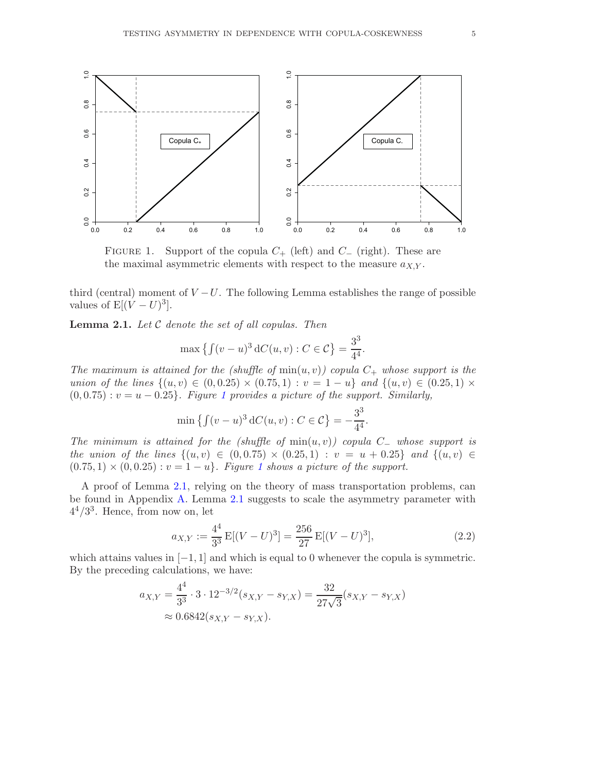

<span id="page-5-1"></span>FIGURE 1. Support of the copula  $C_+$  (left) and  $C_-$  (right). These are the maximal asymmetric elements with respect to the measure  $a_{X,Y}$ .

third (central) moment of  $V-U$ . The following Lemma establishes the range of possible values of  $E[(V-U)^3]$ .

**Lemma 2.1.** Let  $C$  denote the set of all copulas. Then

$$
\max \left\{ \int (v - u)^3 dC(u, v) : C \in \mathcal{C} \right\} = \frac{3^3}{4^4}.
$$

The maximum is attained for the (shuffle of  $min(u, v)$ ) copula  $C_+$  whose support is the union of the lines  $\{(u, v) \in (0, 0.25) \times (0.75, 1) : v = 1 - u\}$  and  $\{(u, v) \in (0.25, 1) \times$  $(0, 0.75) : v = u - 0.25$ . Figure [1](#page-4-1) provides a picture of the support. Similarly,

$$
\min \left\{ \int (v - u)^3 \, dC(u, v) : C \in \mathcal{C} \right\} = -\frac{3^3}{4^4}
$$

The minimum is attained for the (shuffle of  $min(u, v)$ ) copula C\_ whose support is the union of the lines  $\{(u, v) \in (0, 0.75) \times (0.25, 1) : v = u + 0.25\}$  and  $\{(u, v) \in$  $(0.75, 1) \times (0, 0.25)$  $(0.75, 1) \times (0, 0.25)$  $(0.75, 1) \times (0, 0.25)$ :  $v = 1 - u$ . Figure 1 shows a picture of the support.

A proof of Lemma [2.1,](#page-4-0) relying on the theory of mass transportation problems, can be found in Appendix [A.](#page-14-1) Lemma [2.1](#page-4-0) suggests to scale the asymmetry parameter with  $4^4/3^3$ . Hence, from now on, let

$$
a_{X,Y} := \frac{4^4}{3^3} \mathcal{E}[(V - U)^3] = \frac{256}{27} \mathcal{E}[(V - U)^3],\tag{2.2}
$$

<span id="page-5-2"></span><span id="page-5-0"></span>.

which attains values in  $[-1, 1]$  and which is equal to 0 whenever the copula is symmetric. By the preceding calculations, we have:

$$
a_{X,Y} = \frac{4^4}{3^3} \cdot 3 \cdot 12^{-3/2} (s_{X,Y} - s_{Y,X}) = \frac{32}{27\sqrt{3}} (s_{X,Y} - s_{Y,X})
$$
  

$$
\approx 0.6842 (s_{X,Y} - s_{Y,X}).
$$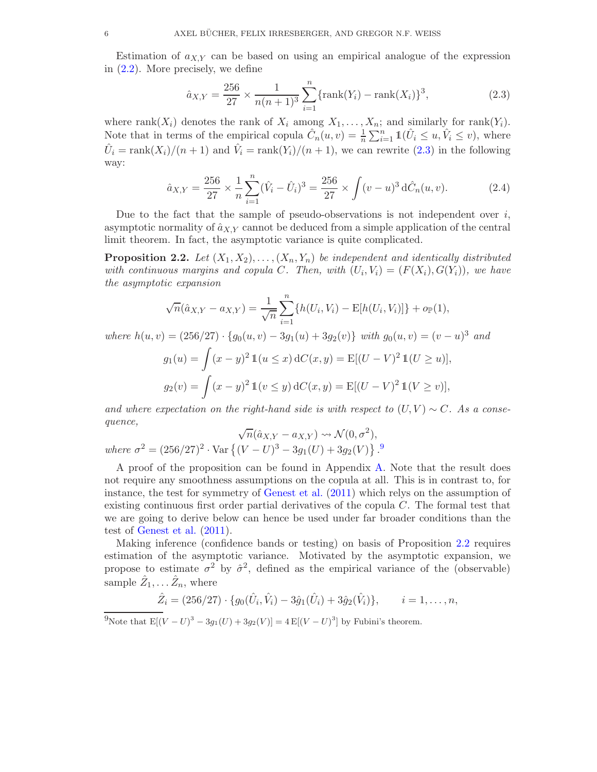Estimation of  $a_{XY}$  can be based on using an empirical analogue of the expression in [\(2.2\)](#page-4-2). More precisely, we define

$$
\hat{a}_{X,Y} = \frac{256}{27} \times \frac{1}{n(n+1)^3} \sum_{i=1}^n \{\text{rank}(Y_i) - \text{rank}(X_i)\}^3,
$$
\n(2.3)

where rank $(X_i)$  denotes the rank of  $X_i$  among  $X_1, \ldots, X_n$ ; and similarly for rank $(Y_i)$ . Note that in terms of the empirical copula  $\hat{C}_n(u, v) = \frac{1}{n} \sum_{i=1}^n \mathbb{1}(\hat{U}_i \leq u, \hat{V}_i \leq v)$ , where  $\hat{U}_i = \text{rank}(X_i)/(n+1)$  and  $\hat{V}_i = \text{rank}(Y_i)/(n+1)$ , we can rewrite  $(2.3)$  in the following way:

$$
\hat{a}_{X,Y} = \frac{256}{27} \times \frac{1}{n} \sum_{i=1}^{n} (\hat{V}_i - \hat{U}_i)^3 = \frac{256}{27} \times \int (v - u)^3 d\hat{C}_n(u, v). \tag{2.4}
$$

Due to the fact that the sample of pseudo-observations is not independent over  $i$ , asymptotic normality of  $\hat{a}_{X,Y}$  cannot be deduced from a simple application of the central limit theorem. In fact, the asymptotic variance is quite complicated.

**Proposition 2.2.** Let  $(X_1, X_2), \ldots, (X_n, Y_n)$  be independent and identically distributed with continuous margins and copula C. Then, with  $(U_i, V_i) = (F(X_i), G(Y_i))$ , we have the asymptotic expansion

$$
\sqrt{n}(\hat{a}_{X,Y} - a_{X,Y}) = \frac{1}{\sqrt{n}} \sum_{i=1}^{n} \{h(U_i, V_i) - \mathbb{E}[h(U_i, V_i)]\} + o_{\mathbb{P}}(1),
$$

where  $h(u, v) = (256/27) \cdot \{g_0(u, v) - 3g_1(u) + 3g_2(v)\}\$  with  $g_0(u, v) = (v - u)^3$  and

$$
g_1(u) = \int (x - y)^2 \mathbb{1}(u \le x) \, dC(x, y) = E[(U - V)^2 \mathbb{1}(U \ge u)],
$$
  

$$
g_2(v) = \int (x - y)^2 \mathbb{1}(v \le y) \, dC(x, y) = E[(U - V)^2 \mathbb{1}(V \ge v)],
$$

and where expectation on the right-hand side is with respect to  $(U, V) \sim C$ . As a consequence,

$$
\sqrt{n}(\hat{a}_{X,Y} - a_{X,Y}) \rightsquigarrow \mathcal{N}(0, \sigma^2),
$$
  
where  $\sigma^2 = (256/27)^2 \cdot \text{Var}\{(V-U)^3 - 3g_1(U) + 3g_2(V)\}.$ <sup>9</sup>

A proof of the proposition can be found in Appendix [A.](#page-14-1) Note that the result does not require any smoothness assumptions on the copula at all. This is in contrast to, for instance, the test for symmetry of [Genest et al.](#page-17-8) [\(2011](#page-17-8)) which relys on the assumption of existing continuous first order partial derivatives of the copula C. The formal test that we are going to derive below can hence be used under far broader conditions than the test of [Genest et al.](#page-17-8) [\(2011](#page-17-8)).

<span id="page-6-0"></span>Making inference (confidence bands or testing) on basis of Proposition [2.2](#page-5-1) requires estimation of the asymptotic variance. Motivated by the asymptotic expansion, we propose to estimate  $\sigma^2$  by  $\hat{\sigma}^2$ , defined as the empirical variance of the (observable) sample  $\hat{Z}_1, \ldots \hat{Z}_n$ , where

$$
\hat{Z}_i = (256/27) \cdot \{g_0(\hat{U}_i, \hat{V}_i) - 3\hat{g}_1(\hat{U}_i) + 3\hat{g}_2(\hat{V}_i)\}, \qquad i = 1, \dots, n,
$$

 $^{9}$ Note that  $E[(V-U)^{3} – 3g_{1}(U) + 3g_{2}(V)] = 4 E[(V-U)^{3}]$  by Fubini's theorem.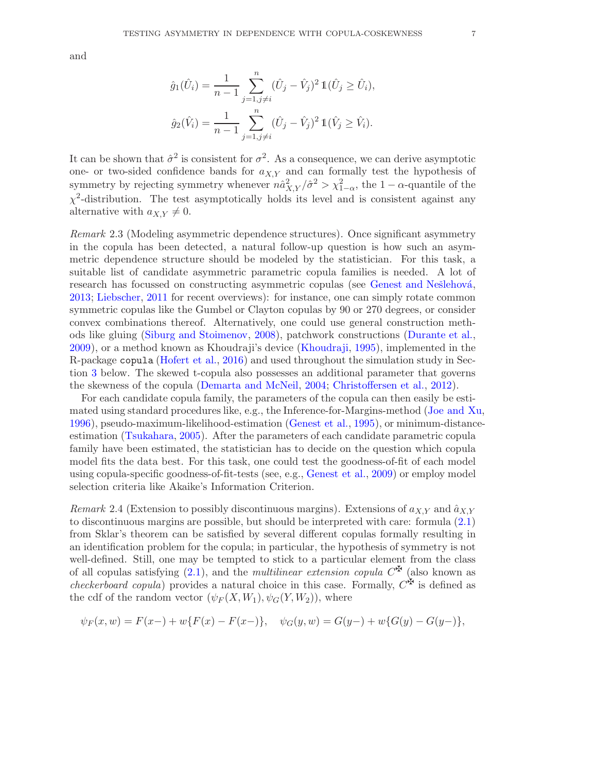and

$$
\hat{g}_1(\hat{U}_i) = \frac{1}{n-1} \sum_{j=1, j \neq i}^n (\hat{U}_j - \hat{V}_j)^2 \mathbb{1}(\hat{U}_j \geq \hat{U}_i),
$$
  

$$
\hat{g}_2(\hat{V}_i) = \frac{1}{n-1} \sum_{j=1, j \neq i}^n (\hat{U}_j - \hat{V}_j)^2 \mathbb{1}(\hat{V}_j \geq \hat{V}_i).
$$

It can be shown that  $\hat{\sigma}^2$  is consistent for  $\sigma^2$ . As a consequence, we can derive asymptotic one- or two-sided confidence bands for  $a_{X,Y}$  and can formally test the hypothesis of symmetry by rejecting symmetry whenever  $n\hat{a}_{X,Y}^2/\hat{\sigma}^2 > \chi_{1-\alpha}^2$ , the  $1-\alpha$ -quantile of the  $\chi^2$ -distribution. The test asymptotically holds its level and is consistent against any alternative with  $a_{X,Y} \neq 0$ .

<span id="page-7-0"></span>Remark 2.3 (Modeling asymmetric dependence structures). Once significant asymmetry in the copula has been detected, a natural follow-up question is how such an asymmetric dependence structure should be modeled by the statistician. For this task, a suitable list of candidate asymmetric parametric copula families is needed. A lot of research has focussed on constructing asymmetric copulas (see Genest and Nešlehová, [2013](#page-17-9); [Liebscher](#page-18-13), [2011](#page-18-13) for recent overviews): for instance, one can simply rotate common symmetric copulas like the Gumbel or Clayton copulas by 90 or 270 degrees, or consider convex combinations thereof. Alternatively, one could use general construction methods like gluing [\(Siburg and Stoimenov](#page-18-14), [2008\)](#page-18-14), patchwork constructions [\(Durante et al.](#page-17-10), [2009](#page-17-10)), or a method known as Khoudraji's device [\(Khoudraji,](#page-18-15) [1995](#page-18-15)), implemented in the R-package copula [\(Hofert et al.](#page-18-16), [2016](#page-18-16)) and used throughout the simulation study in Section [3](#page-7-0) below. The skewed t-copula also possesses an additional parameter that governs the skewness of the copula [\(Demarta and McNeil](#page-17-4), [2004;](#page-17-4) [Christoffersen et al.](#page-17-5), [2012\)](#page-17-5).

For each candidate copula family, the parameters of the copula can then easily be estimated using standard procedures like, e.g., the Inference-for-Margins-method [\(Joe and Xu](#page-18-17), [1996](#page-18-17)), pseudo-maximum-likelihood-estimation [\(Genest et al.](#page-17-0), [1995](#page-17-0)), or minimum-distanceestimation [\(Tsukahara](#page-18-18), [2005\)](#page-18-18). After the parameters of each candidate parametric copula family have been estimated, the statistician has to decide on the question which copula model fits the data best. For this task, one could test the goodness-of-fit of each model using copula-specific goodness-of-fit-tests (see, e.g., [Genest et al.](#page-17-1), [2009\)](#page-17-1) or employ model selection criteria like Akaike's Information Criterion.

Remark 2.4 (Extension to possibly discontinuous margins). Extensions of  $a_{X,Y}$  and  $\hat{a}_{X,Y}$ to discontinuous margins are possible, but should be interpreted with care: formula [\(2.1\)](#page-1-1) from Sklar's theorem can be satisfied by several different copulas formally resulting in an identification problem for the copula; in particular, the hypothesis of symmetry is not well-defined. Still, one may be tempted to stick to a particular element from the class of all copulas satisfying  $(2.1)$ , and the *multilinear extension copula*  $C^{\mathbf{F}}$  (also known as *checkerboard copula*) provides a natural choice in this case. Formally,  $C^{\mathbf{\tilde{F}}}$  is defined as the cdf of the random vector  $(\psi_F(X, W_1), \psi_G(Y, W_2))$ , where

$$
\psi_F(x, w) = F(x-) + w\{F(x) - F(x-) \}, \quad \psi_G(y, w) = G(y-) + w\{G(y) - G(y-) \},
$$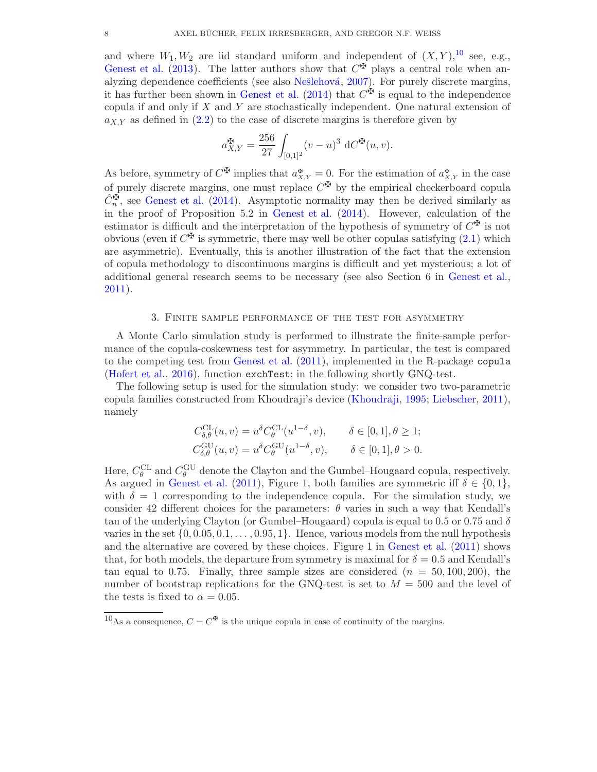and where  $W_1, W_2$  are iid standard uniform and independent of  $(X, Y),$ <sup>10</sup> see, e.g., [Genest et al.](#page-17-11) [\(2013](#page-17-11)). The latter authors show that  $C^{\mathfrak{F}}$  plays a central role when an-alyzing dependence coefficients (see also Nešlehová, [2007\)](#page-18-19). For purely discrete margins, it has further been shown in [Genest et al.](#page-17-12) [\(2014](#page-17-12)) that  $C^{\mathfrak{F}}$  is equal to the independence copula if and only if X and Y are stochastically independent. One natural extension of  $a_{X,Y}$  as defined in  $(2.2)$  to the case of discrete margins is therefore given by

$$
a_{X,Y}^{\mathbf{H}} = \frac{256}{27} \int_{[0,1]^2} (v - u)^3 \, dC^{\mathbf{H}}(u, v).
$$

<span id="page-8-0"></span>As before, symmetry of  $C^{\mathbf{F}}$  implies that  $a_{X,Y}^{\mathbf{F}} = 0$ . For the estimation of  $a_{X,Y}^{\mathbf{F}}$  in the case of purely discrete margins, one must replace  $C^{\mathfrak{F}}$  by the empirical checkerboard copula  $\hat{C}_n^{\mathbf{F}}$ , see [Genest et al.](#page-17-12) [\(2014](#page-17-12)). Asymptotic normality may then be derived similarly as in the proof of Proposition 5.2 in [Genest et al.](#page-17-12) [\(2014](#page-17-12)). However, calculation of the estimator is difficult and the interpretation of the hypothesis of symmetry of  $C^{\mathfrak{F}}$  is not obvious (even if  $C^{\mathbf{\Sigma}}$  is symmetric, there may well be other copulas satisfying  $(2.1)$  which are asymmetric). Eventually, this is another illustration of the fact that the extension of copula methodology to discontinuous margins is difficult and yet mysterious; a lot of additional general research seems to be necessary (see also Section 6 in [Genest et al.,](#page-17-13) [2011](#page-17-13)).

### 3. Finite sample performance of the test for asymmetry

A Monte Carlo simulation study is performed to illustrate the finite-sample performance of the copula-coskewness test for asymmetry. In particular, the test is compared to the competing test from [Genest et al.](#page-17-8) [\(2011](#page-17-8)), implemented in the R-package copula [\(Hofert et al.](#page-18-16), [2016](#page-18-16)), function exchTest; in the following shortly GNQ-test.

The following setup is used for the simulation study: we consider two two-parametric copula families constructed from Khoudraji's device [\(Khoudraji,](#page-18-15) [1995](#page-18-15); [Liebscher,](#page-18-13) [2011](#page-18-13)), namely

$$
C_{\delta,\theta}^{\text{CL}}(u,v) = u^{\delta} C_{\theta}^{\text{CL}}(u^{1-\delta}, v), \qquad \delta \in [0,1], \theta \ge 1;
$$
  

$$
C_{\delta,\theta}^{\text{GU}}(u,v) = u^{\delta} C_{\theta}^{\text{GU}}(u^{1-\delta}, v), \qquad \delta \in [0,1], \theta > 0.
$$

Here,  $C_{\theta}^{CL}$  and  $C_{\theta}^{GU}$  denote the Clayton and the Gumbel–Hougaard copula, respectively. As argued in [Genest et al.](#page-17-8) [\(2011\)](#page-17-8), Figure 1, both families are symmetric iff  $\delta \in \{0, 1\}$ , with  $\delta = 1$  corresponding to the independence copula. For the simulation study, we consider 42 different choices for the parameters:  $\theta$  varies in such a way that Kendall's tau of the underlying Clayton (or Gumbel–Hougaard) copula is equal to 0.5 or 0.75 and  $\delta$ varies in the set  $\{0, 0.05, 0.1, \ldots, 0.95, 1\}$ . Hence, various models from the null hypothesis and the alternative are covered by these choices. Figure 1 in [Genest et al.](#page-17-8) [\(2011](#page-17-8)) shows that, for both models, the departure from symmetry is maximal for  $\delta = 0.5$  and Kendall's tau equal to 0.75. Finally, three sample sizes are considered  $(n = 50, 100, 200)$ , the number of bootstrap replications for the GNQ-test is set to  $M = 500$  and the level of the tests is fixed to  $\alpha = 0.05$ .

<sup>&</sup>lt;sup>10</sup>As a consequence,  $C = C^{\mathfrak{F}}$  is the unique copula in case of continuity of the margins.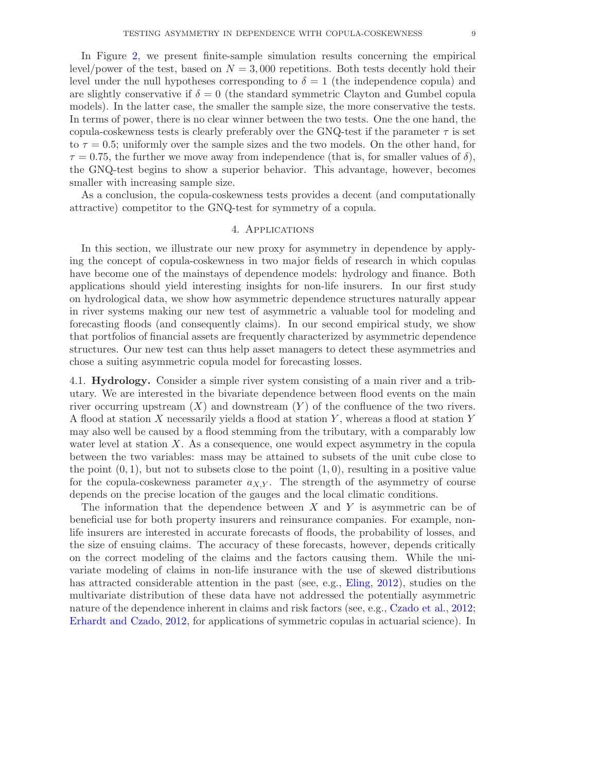In Figure [2,](#page-9-0) we present finite-sample simulation results concerning the empirical level/power of the test, based on  $N = 3,000$  repetitions. Both tests decently hold their level under the null hypotheses corresponding to  $\delta = 1$  (the independence copula) and are slightly conservative if  $\delta = 0$  (the standard symmetric Clayton and Gumbel copula models). In the latter case, the smaller the sample size, the more conservative the tests. In terms of power, there is no clear winner between the two tests. One the one hand, the copula-coskewness tests is clearly preferably over the GNQ-test if the parameter  $\tau$  is set to  $\tau = 0.5$ ; uniformly over the sample sizes and the two models. On the other hand, for  $\tau = 0.75$ , the further we move away from independence (that is, for smaller values of  $\delta$ ), the GNQ-test begins to show a superior behavior. This advantage, however, becomes smaller with increasing sample size.

As a conclusion, the copula-coskewness tests provides a decent (and computationally attractive) competitor to the GNQ-test for symmetry of a copula.

### 4. Applications

In this section, we illustrate our new proxy for asymmetry in dependence by applying the concept of copula-coskewness in two major fields of research in which copulas have become one of the mainstays of dependence models: hydrology and finance. Both applications should yield interesting insights for non-life insurers. In our first study on hydrological data, we show how asymmetric dependence structures naturally appear in river systems making our new test of asymmetric a valuable tool for modeling and forecasting floods (and consequently claims). In our second empirical study, we show that portfolios of financial assets are frequently characterized by asymmetric dependence structures. Our new test can thus help asset managers to detect these asymmetries and chose a suiting asymmetric copula model for forecasting losses.

4.1. Hydrology. Consider a simple river system consisting of a main river and a tributary. We are interested in the bivariate dependence between flood events on the main river occurring upstream  $(X)$  and downstream  $(Y)$  of the confluence of the two rivers. A flood at station X necessarily yields a flood at station Y , whereas a flood at station Y may also well be caused by a flood stemming from the tributary, with a comparably low water level at station  $X$ . As a consequence, one would expect asymmetry in the copula between the two variables: mass may be attained to subsets of the unit cube close to the point  $(0, 1)$ , but not to subsets close to the point  $(1, 0)$ , resulting in a positive value for the copula-coskewness parameter  $a_{X,Y}$ . The strength of the asymmetry of course depends on the precise location of the gauges and the local climatic conditions.

<span id="page-9-0"></span>The information that the dependence between  $X$  and  $Y$  is asymmetric can be of beneficial use for both property insurers and reinsurance companies. For example, nonlife insurers are interested in accurate forecasts of floods, the probability of losses, and the size of ensuing claims. The accuracy of these forecasts, however, depends critically on the correct modeling of the claims and the factors causing them. While the univariate modeling of claims in non-life insurance with the use of skewed distributions has attracted considerable attention in the past (see, e.g., [Eling,](#page-17-14) [2012\)](#page-17-14), studies on the multivariate distribution of these data have not addressed the potentially asymmetric nature of the dependence inherent in claims and risk factors (see, e.g., [Czado et al.](#page-17-15), [2012](#page-17-15); [Erhardt and Czado,](#page-17-16) [2012](#page-17-16), for applications of symmetric copulas in actuarial science). In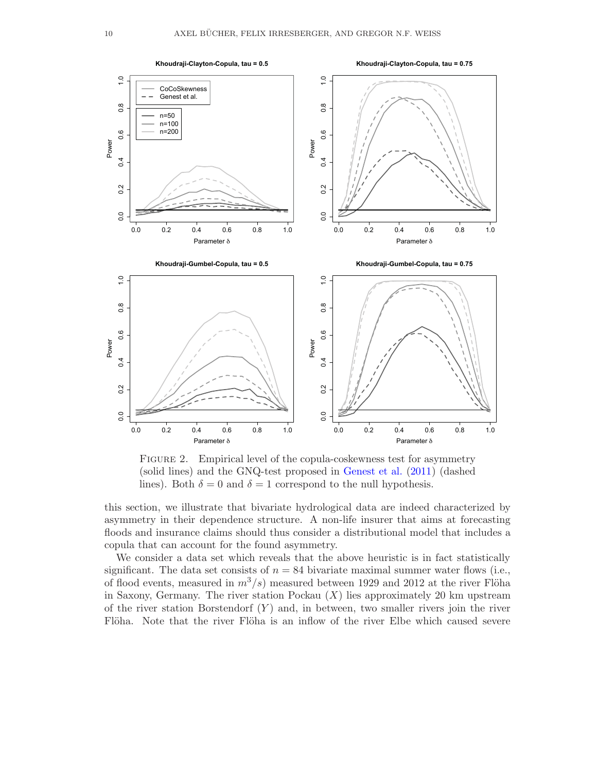

<span id="page-10-0"></span>FIGURE 2. Empirical level of the copula-coskewness test for asymmetry (solid lines) and the GNQ-test proposed in [Genest et al.](#page-17-8) [\(2011\)](#page-17-8) (dashed lines). Both  $\delta = 0$  and  $\delta = 1$  correspond to the null hypothesis.

this section, we illustrate that bivariate hydrological data are indeed characterized by asymmetry in their dependence structure. A non-life insurer that aims at forecasting floods and insurance claims should thus consider a distributional model that includes a copula that can account for the found asymmetry.

We consider a data set which reveals that the above heuristic is in fact statistically significant. The data set consists of  $n = 84$  bivariate maximal summer water flows (i.e., of flood events, measured in  $m^3/s$  measured between 1929 and 2012 at the river Flöha in Saxony, Germany. The river station Pockau  $(X)$  lies approximately 20 km upstream of the river station Borstendorf  $(Y)$  and, in between, two smaller rivers join the river Flöha. Note that the river Flöha is an inflow of the river Elbe which caused severe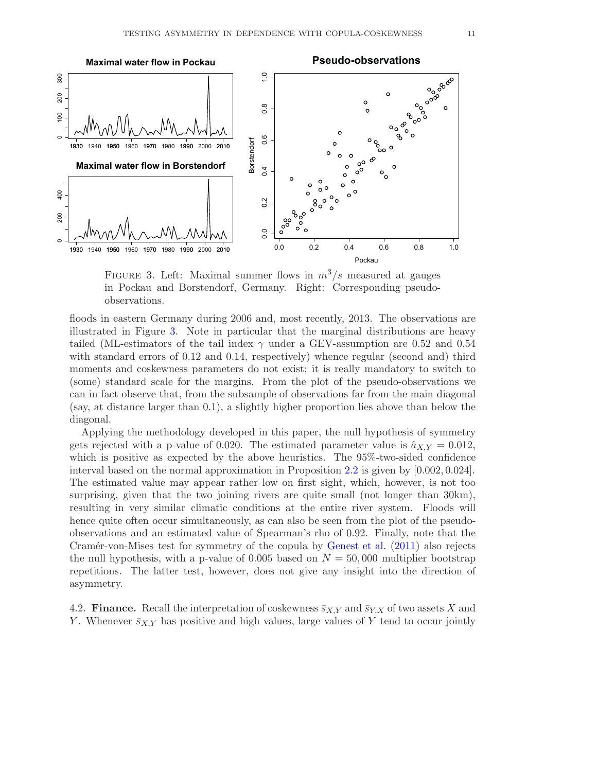

<span id="page-11-0"></span>FIGURE 3. Left: Maximal summer flows in  $m^3/s$  measured at gauges in Pockau and Borstendorf, Germany. Right: Corresponding pseudoobservations.

floods in eastern Germany during 2006 and, most recently, 2013. The observations are illustrated in Figure [3.](#page-10-0) Note in particular that the marginal distributions are heavy tailed (ML-estimators of the tail index  $\gamma$  under a GEV-assumption are 0.52 and 0.54 with standard errors of 0.12 and 0.14, respectively) whence regular (second and) third moments and coskewness parameters do not exist; it is really mandatory to switch to (some) standard scale for the margins. From the plot of the pseudo-observations we can in fact observe that, from the subsample of observations far from the main diagonal (say, at distance larger than 0.1), a slightly higher proportion lies above than below the diagonal.

Applying the methodology developed in this paper, the null hypothesis of symmetry gets rejected with a p-value of 0.020. The estimated parameter value is  $\hat{a}_{X,Y} = 0.012$ , which is positive as expected by the above heuristics. The 95%-two-sided confidence interval based on the normal approximation in Proposition [2.2](#page-5-1) is given by [0.002, 0.024]. The estimated value may appear rather low on first sight, which, however, is not too surprising, given that the two joining rivers are quite small (not longer than 30km), resulting in very similar climatic conditions at the entire river system. Floods will hence quite often occur simultaneously, as can also be seen from the plot of the pseudoobservations and an estimated value of Spearman's rho of 0.92. Finally, note that the Cramér-von-Mises test for symmetry of the copula by [Genest et al.](#page-17-8)  $(2011)$  $(2011)$  also rejects the null hypothesis, with a p-value of 0.005 based on  $N = 50,000$  multiplier bootstrap repetitions. The latter test, however, does not give any insight into the direction of asymmetry.

4.2. **Finance.** Recall the interpretation of coskewness  $\bar{s}_{X,Y}$  and  $\bar{s}_{Y,X}$  of two assets X and Y. Whenever  $\bar{s}_{X,Y}$  has positive and high values, large values of Y tend to occur jointly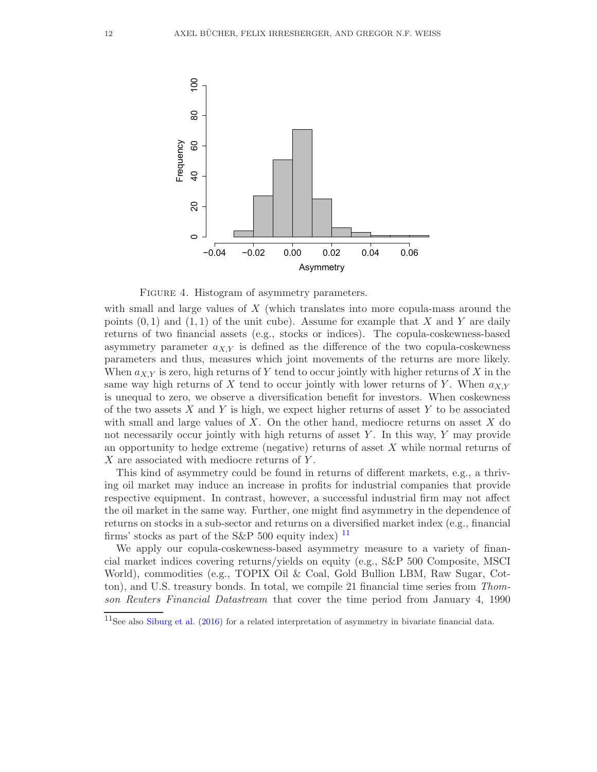

<span id="page-12-0"></span>FIGURE 4. Histogram of asymmetry parameters.

with small and large values of X (which translates into more copula-mass around the points  $(0, 1)$  and  $(1, 1)$  of the unit cube). Assume for example that X and Y are daily returns of two financial assets (e.g., stocks or indices). The copula-coskewness-based asymmetry parameter  $a_{X,Y}$  is defined as the difference of the two copula-coskewness parameters and thus, measures which joint movements of the returns are more likely. When  $a_{X,Y}$  is zero, high returns of Y tend to occur jointly with higher returns of X in the same way high returns of X tend to occur jointly with lower returns of Y. When  $a_{X,Y}$ is unequal to zero, we observe a diversification benefit for investors. When coskewness of the two assets  $X$  and  $Y$  is high, we expect higher returns of asset  $Y$  to be associated with small and large values of  $X$ . On the other hand, mediocre returns on asset  $X$  do not necessarily occur jointly with high returns of asset  $Y$ . In this way,  $Y$  may provide an opportunity to hedge extreme (negative) returns of asset  $X$  while normal returns of  $X$  are associated with mediocre returns of  $Y$ .

This kind of asymmetry could be found in returns of different markets, e.g., a thriving oil market may induce an increase in profits for industrial companies that provide respective equipment. In contrast, however, a successful industrial firm may not affect the oil market in the same way. Further, one might find asymmetry in the dependence of returns on stocks in a sub-sector and returns on a diversified market index (e.g., financial firms' stocks as part of the S&P 500 equity index)  $^{11}$ 

We apply our copula-coskewness-based asymmetry measure to a variety of financial market indices covering returns/yields on equity (e.g., S&P 500 Composite, MSCI World), commodities (e.g., TOPIX Oil & Coal, Gold Bullion LBM, Raw Sugar, Cotton), and U.S. treasury bonds. In total, we compile 21 financial time series from Thomson Reuters Financial Datastream that cover the time period from January 4, 1990

 $11$ See also [Siburg et al.](#page-18-9) [\(2016](#page-18-9)) for a related interpretation of asymmetry in bivariate financial data.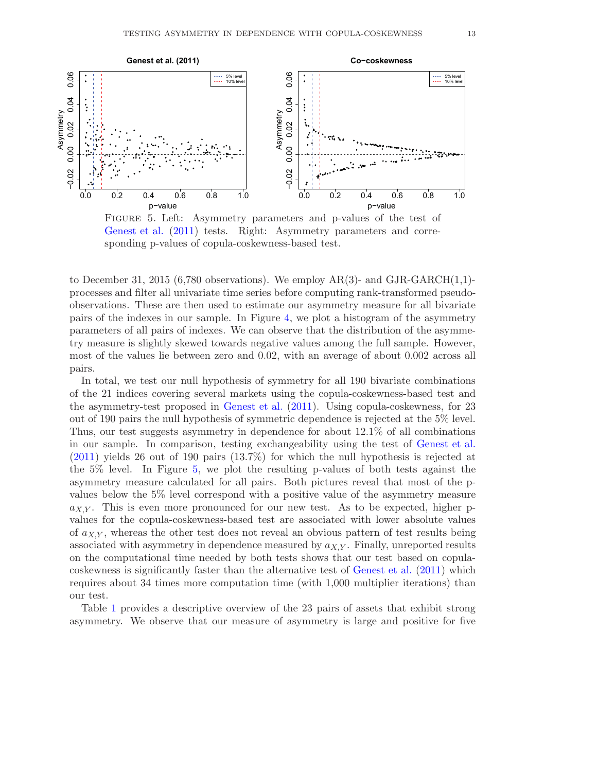

Figure 5. Left: Asymmetry parameters and p-values of the test of [Genest et al.](#page-17-8) [\(2011](#page-17-8)) tests. Right: Asymmetry parameters and corresponding p-values of copula-coskewness-based test.

to December 31, 2015 (6,780 observations). We employ AR(3)- and GJR-GARCH $(1,1)$ processes and filter all univariate time series before computing rank-transformed pseudoobservations. These are then used to estimate our asymmetry measure for all bivariate pairs of the indexes in our sample. In Figure [4,](#page-11-0) we plot a histogram of the asymmetry parameters of all pairs of indexes. We can observe that the distribution of the asymmetry measure is slightly skewed towards negative values among the full sample. However, most of the values lie between zero and 0.02, with an average of about 0.002 across all pairs.

In total, we test our null hypothesis of symmetry for all 190 bivariate combinations of the 21 indices covering several markets using the copula-coskewness-based test and the asymmetry-test proposed in [Genest et al.](#page-17-8) [\(2011](#page-17-8)). Using copula-coskewness, for 23 out of 190 pairs the null hypothesis of symmetric dependence is rejected at the 5% level. Thus, our test suggests asymmetry in dependence for about 12.1% of all combinations in our sample. In comparison, testing exchangeability using the test of [Genest et al.](#page-17-8) [\(2011](#page-17-8)) yields 26 out of 190 pairs (13.7%) for which the null hypothesis is rejected at the 5% level. In Figure [5,](#page-12-0) we plot the resulting p-values of both tests against the asymmetry measure calculated for all pairs. Both pictures reveal that most of the pvalues below the 5% level correspond with a positive value of the asymmetry measure  $a_{X,Y}$ . This is even more pronounced for our new test. As to be expected, higher pvalues for the copula-coskewness-based test are associated with lower absolute values of  $a_{X,Y}$ , whereas the other test does not reveal an obvious pattern of test results being associated with asymmetry in dependence measured by  $a_{X,Y}$ . Finally, unreported results on the computational time needed by both tests shows that our test based on copulacoskewness is significantly faster than the alternative test of [Genest et al.](#page-17-8) [\(2011](#page-17-8)) which requires about 34 times more computation time (with 1,000 multiplier iterations) than our test.

Table [1](#page-14-2) provides a descriptive overview of the 23 pairs of assets that exhibit strong asymmetry. We observe that our measure of asymmetry is large and positive for five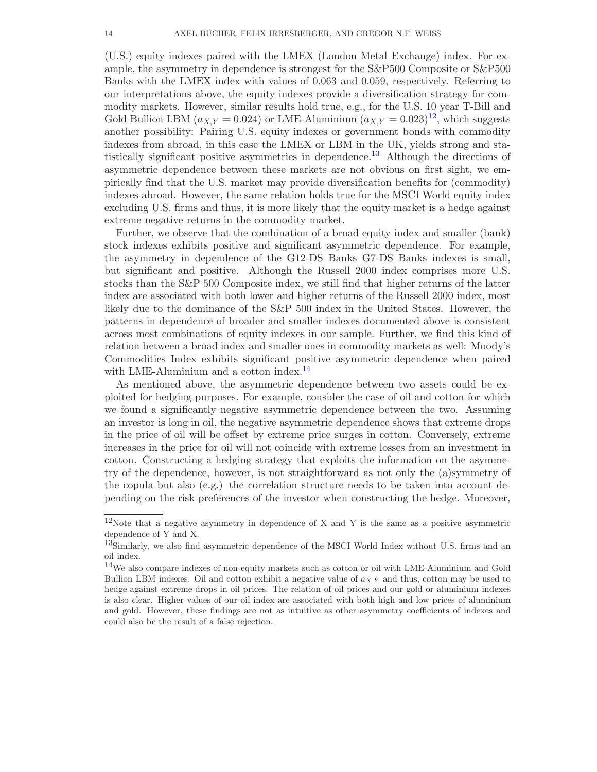(U.S.) equity indexes paired with the LMEX (London Metal Exchange) index. For example, the asymmetry in dependence is strongest for the S&P500 Composite or S&P500 Banks with the LMEX index with values of 0.063 and 0.059, respectively. Referring to our interpretations above, the equity indexes provide a diversification strategy for commodity markets. However, similar results hold true, e.g., for the U.S. 10 year T-Bill and Gold Bullion LBM ( $a_{X,Y} = 0.024$ ) or LME-Aluminium  $(a_{X,Y} = 0.023)^{12}$ , which suggests another possibility: Pairing U.S. equity indexes or government bonds with commodity indexes from abroad, in this case the LMEX or LBM in the UK, yields strong and statistically significant positive asymmetries in dependence.<sup>13</sup> Although the directions of asymmetric dependence between these markets are not obvious on first sight, we empirically find that the U.S. market may provide diversification benefits for (commodity) indexes abroad. However, the same relation holds true for the MSCI World equity index excluding U.S. firms and thus, it is more likely that the equity market is a hedge against extreme negative returns in the commodity market.

Further, we observe that the combination of a broad equity index and smaller (bank) stock indexes exhibits positive and significant asymmetric dependence. For example, the asymmetry in dependence of the G12-DS Banks G7-DS Banks indexes is small, but significant and positive. Although the Russell 2000 index comprises more U.S. stocks than the S&P 500 Composite index, we still find that higher returns of the latter index are associated with both lower and higher returns of the Russell 2000 index, most likely due to the dominance of the S&P 500 index in the United States. However, the patterns in dependence of broader and smaller indexes documented above is consistent across most combinations of equity indexes in our sample. Further, we find this kind of relation between a broad index and smaller ones in commodity markets as well: Moody's Commodities Index exhibits significant positive asymmetric dependence when paired with LME-Aluminium and a cotton index.<sup>14</sup>

<span id="page-14-2"></span><span id="page-14-0"></span>As mentioned above, the asymmetric dependence between two assets could be exploited for hedging purposes. For example, consider the case of oil and cotton for which we found a significantly negative asymmetric dependence between the two. Assuming an investor is long in oil, the negative asymmetric dependence shows that extreme drops in the price of oil will be offset by extreme price surges in cotton. Conversely, extreme increases in the price for oil will not coincide with extreme losses from an investment in cotton. Constructing a hedging strategy that exploits the information on the asymmetry of the dependence, however, is not straightforward as not only the (a)symmetry of the copula but also (e.g.) the correlation structure needs to be taken into account depending on the risk preferences of the investor when constructing the hedge. Moreover,

<sup>12</sup>Note that a negative asymmetry in dependence of X and Y is the same as a positive asymmetric dependence of Y and X.

<sup>&</sup>lt;sup>13</sup>Similarly, we also find asymmetric dependence of the MSCI World Index without U.S. firms and an oil index.

<span id="page-14-1"></span><sup>&</sup>lt;sup>14</sup>We also compare indexes of non-equity markets such as cotton or oil with LME-Aluminium and Gold Bullion LBM indexes. Oil and cotton exhibit a negative value of  $a_{X,Y}$  and thus, cotton may be used to hedge against extreme drops in oil prices. The relation of oil prices and our gold or aluminium indexes is also clear. Higher values of our oil index are associated with both high and low prices of aluminium and gold. However, these findings are not as intuitive as other asymmetry coefficients of indexes and could also be the result of a false rejection.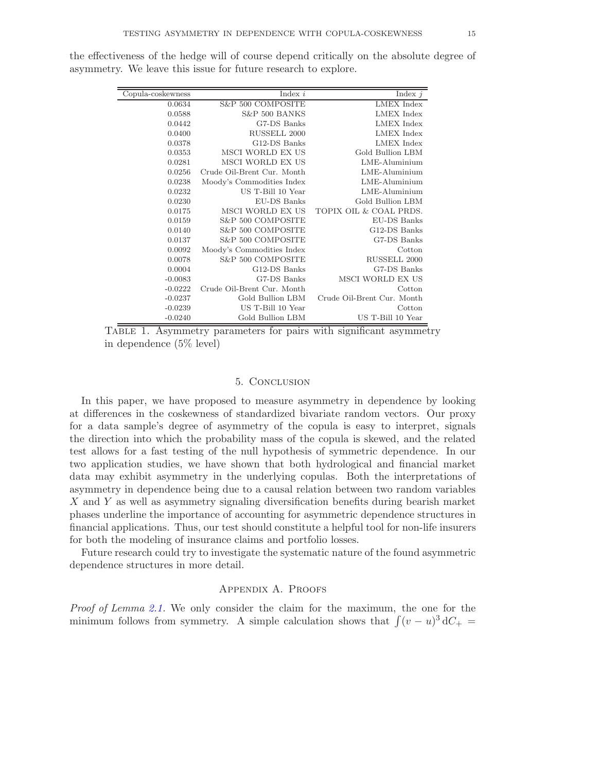| Copula-coskewness | Index $i$                  | Index $j$                  |
|-------------------|----------------------------|----------------------------|
| 0.0634            | S&P 500 COMPOSITE          | <b>LMEX</b> Index          |
| 0.0588            | S&P 500 BANKS              | <b>LMEX</b> Index          |
| 0.0442            | G7-DS Banks                | <b>LMEX</b> Index          |
| 0.0400            | RUSSELL 2000               | <b>LMEX</b> Index          |
| 0.0378            | G12-DS Banks               | <b>LMEX</b> Index          |
| 0.0353            | MSCI WORLD EX US           | Gold Bullion LBM           |
| 0.0281            | MSCI WORLD EX US           | $LME$ -Aluminium           |
| 0.0256            | Crude Oil-Brent Cur. Month | $LME$ -Aluminium           |
| 0.0238            | Moody's Commodities Index  | $LME$ -Aluminium           |
| 0.0232            | US T-Bill 10 Year          | LME-Aluminium              |
| 0.0230            | EU-DS Banks                | Gold Bullion LBM           |
| 0.0175            | MSCI WORLD EX US           | TOPIX OIL & COAL PRDS.     |
| 0.0159            | S&P 500 COMPOSITE          | EU-DS Banks                |
| 0.0140            | S&P 500 COMPOSITE          | G12-DS Banks               |
| 0.0137            | S&P 500 COMPOSITE          | G7-DS Banks                |
| 0.0092            | Moody's Commodities Index  | Cotton                     |
| 0.0078            | S&P 500 COMPOSITE          | RUSSELL 2000               |
| 0.0004            | G12-DS Banks               | G7-DS Banks                |
| $-0.0083$         | G7-DS Banks                | MSCI WORLD EX US           |
| $-0.0222$         | Crude Oil-Brent Cur. Month | Cotton                     |
| $-0.0237$         | Gold Bullion LBM           | Crude Oil-Brent Cur. Month |
| $-0.0239$         | US T-Bill 10 Year          | Cotton                     |
| $-0.0240$         | Gold Bullion LBM           | US T-Bill 10 Year          |

the effectiveness of the hedge will of course depend critically on the absolute degree of asymmetry. We leave this issue for future research to explore.

Table 1. Asymmetry parameters for pairs with significant asymmetry in dependence (5% level)

### 5. Conclusion

In this paper, we have proposed to measure asymmetry in dependence by looking at differences in the coskewness of standardized bivariate random vectors. Our proxy for a data sample's degree of asymmetry of the copula is easy to interpret, signals the direction into which the probability mass of the copula is skewed, and the related test allows for a fast testing of the null hypothesis of symmetric dependence. In our two application studies, we have shown that both hydrological and financial market data may exhibit asymmetry in the underlying copulas. Both the interpretations of asymmetry in dependence being due to a causal relation between two random variables X and Y as well as asymmetry signaling diversification benefits during bearish market phases underline the importance of accounting for asymmetric dependence structures in financial applications. Thus, our test should constitute a helpful tool for non-life insurers for both the modeling of insurance claims and portfolio losses.

Future research could try to investigate the systematic nature of the found asymmetric dependence structures in more detail.

### Appendix A. Proofs

Proof of Lemma [2.1.](#page-4-0) We only consider the claim for the maximum, the one for the minimum follows from symmetry. A simple calculation shows that  $\int (v - u)^3 dC_+$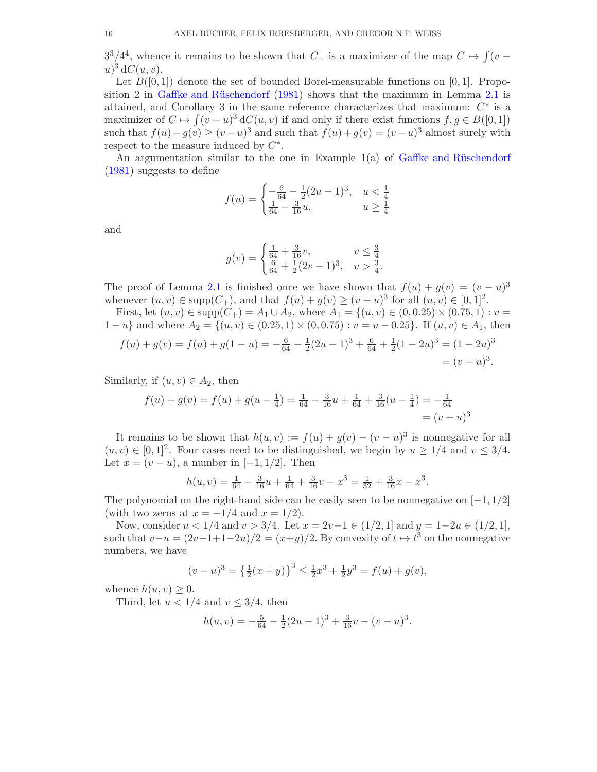$3^3/4^4$ , whence it remains to be shown that  $C_+$  is a maximizer of the map  $C \rightarrow \int (v$  $u)^3$  d $C(u, v)$ .

Let  $B([0,1])$  denote the set of bounded Borel-measurable functions on [0,1]. Proposition 2 in Gaffke and Rüschendorf  $(1981)$  shows that the maximum in Lemma [2.1](#page-4-0) is attained, and Corollary 3 in the same reference characterizes that maximum:  $C^*$  is a maximizer of  $C \mapsto \int (v-u)^3 dC(u,v)$  if and only if there exist functions  $f, g \in B([0,1])$ such that  $f(u) + g(v) \ge (v - u)^3$  and such that  $f(u) + g(v) = (v - u)^3$  almost surely with respect to the measure induced by  $C^*$ .

An argumentation similar to the one in Example  $1(a)$  of Gaffke and Rüschendorf [\(1981](#page-17-17)) suggests to define

$$
f(u) = \begin{cases} -\frac{6}{64} - \frac{1}{2}(2u - 1)^3, & u < \frac{1}{4} \\ \frac{1}{64} - \frac{3}{16}u, & u \ge \frac{1}{4} \end{cases}
$$

and

$$
g(v) = \begin{cases} \frac{1}{64} + \frac{3}{16}v, & v \leq \frac{3}{4} \\ \frac{6}{64} + \frac{1}{2}(2v - 1)^3, & v > \frac{3}{4}. \end{cases}
$$

The proof of Lemma [2.1](#page-4-0) is finished once we have shown that  $f(u) + g(v) = (v - u)^3$ whenever  $(u, v) \in \text{supp}(C_+)$ , and that  $f(u) + g(v) \ge (v - u)^3$  for all  $(u, v) \in [0, 1]^2$ .

First, let  $(u, v) \in \text{supp}(C_+) = A_1 \cup A_2$ , where  $A_1 = \{(u, v) \in (0, 0.25) \times (0.75, 1) : v =$  $1-u$  and where  $A_2 = \{(u, v) \in (0.25, 1) \times (0, 0.75) : v = u - 0.25\}$ . If  $(u, v) \in A_1$ , then

$$
f(u) + g(v) = f(u) + g(1 - u) = -\frac{6}{64} - \frac{1}{2}(2u - 1)^3 + \frac{6}{64} + \frac{1}{2}(1 - 2u)^3 = (1 - 2u)^3
$$
  
=  $(v - u)^3$ .

Similarly, if  $(u, v) \in A_2$ , then

$$
f(u) + g(v) = f(u) + g(u - \frac{1}{4}) = \frac{1}{64} - \frac{3}{16}u + \frac{1}{64} + \frac{3}{16}(u - \frac{1}{4}) = -\frac{1}{64}
$$

$$
= (v - u)^3
$$

It remains to be shown that  $h(u, v) := f(u) + g(v) - (v - u)^3$  is nonnegative for all  $(u, v) \in [0, 1]^2$ . Four cases need to be distinguished, we begin by  $u \ge 1/4$  and  $v \le 3/4$ . Let  $x = (v - u)$ , a number in [-1, 1/2]. Then

$$
h(u,v) = \frac{1}{64} - \frac{3}{16}u + \frac{1}{64} + \frac{3}{16}v - x^3 = \frac{1}{32} + \frac{3}{16}x - x^3.
$$

The polynomial on the right-hand side can be easily seen to be nonnegative on  $[-1, 1/2]$ (with two zeros at  $x = -1/4$  and  $x = 1/2$ ).

Now, consider  $u < 1/4$  and  $v > 3/4$ . Let  $x = 2v-1 \in (1/2, 1]$  and  $y = 1-2u \in (1/2, 1]$ , such that  $v-u = (2v-1+1-2u)/2 = (x+y)/2$ . By convexity of  $t \mapsto t^3$  on the nonnegative numbers, we have

$$
(v-u)^3 = \left\{\frac{1}{2}(x+y)\right\}^3 \le \frac{1}{2}x^3 + \frac{1}{2}y^3 = f(u) + g(v),
$$

whence  $h(u, v) \geq 0$ .

Third, let  $u < 1/4$  and  $v \leq 3/4$ , then

$$
h(u, v) = -\frac{5}{64} - \frac{1}{2}(2u - 1)^3 + \frac{3}{16}v - (v - u)^3.
$$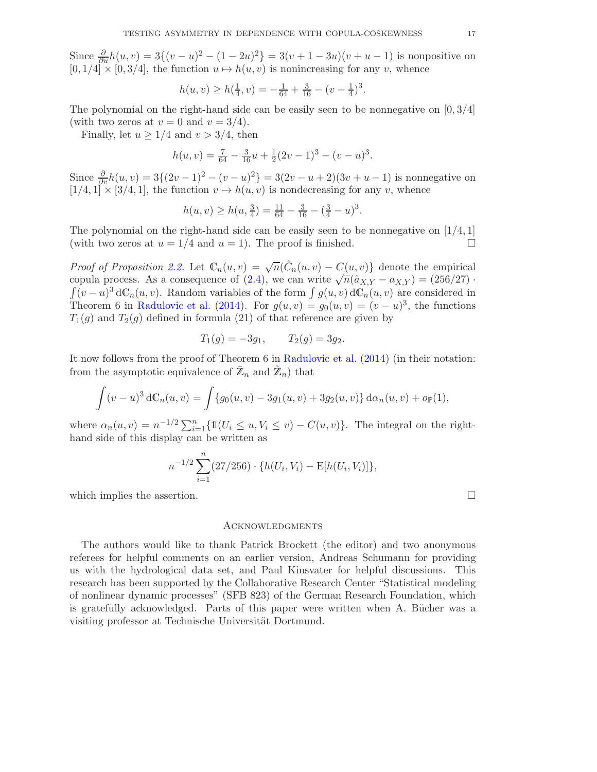<span id="page-17-7"></span>Since  $\frac{\partial}{\partial u}h(u, v) = 3\{(v - u)^2 - (1 - 2u)^2\} = 3(v + 1 - 3u)(v + u - 1)$  is nonpositive on  $[0, 1/4] \times [0, 3/4]$ , the function  $u \mapsto h(u, v)$  is nonincreasing for any v, whence

$$
h(u, v) \ge h(\frac{1}{4}, v) = -\frac{1}{64} + \frac{3}{16} - (v - \frac{1}{4})^3.
$$

<span id="page-17-3"></span>The polynomial on the right-hand side can be easily seen to be nonnegative on  $[0, 3/4]$ (with two zeros at  $v = 0$  and  $v = 3/4$ ).

<span id="page-17-5"></span>Finally, let  $u \geq 1/4$  and  $v > 3/4$ , then

$$
h(u, v) = \frac{7}{64} - \frac{3}{16}u + \frac{1}{2}(2v - 1)^3 - (v - u)^3.
$$

<span id="page-17-15"></span>Since  $\frac{\partial}{\partial v}h(u, v) = 3\{(2v - 1)^2 - (v - u)^2\} = 3(2v - u + 2)(3v + u - 1)$  is nonnegative on  $[1/4, 1] \times [3/4, 1]$ , the function  $v \mapsto h(u, v)$  is nondecreasing for any v, whence

$$
h(u, v) \ge h(u, \frac{3}{4}) = \frac{11}{64} - \frac{3}{16} - (\frac{3}{4} - u)^3.
$$

<span id="page-17-10"></span><span id="page-17-4"></span>The polynomial on the right-hand side can be easily seen to be nonnegative on  $(1/4, 1]$ (with two zeros at  $u = 1/4$  and  $u = 1$ ). The proof is finished.

<span id="page-17-16"></span><span id="page-17-14"></span>*Proof of Proposition [2.2.](#page-5-1)* Let  $\mathbb{C}_n(u, v) = \sqrt{n}(\hat{C}_n(u, v) - C(u, v))$  denote the empirical copula process. As a consequence of [\(2.4\)](#page-5-2), we can write  $\sqrt{n}(\hat{a}_{X,Y} - a_{X,Y}) = (256/27)$ .  $\int (v-u)^3 d\mathbb{C}_n(u,v)$ . Random variables of the form  $\int g(u,v) d\mathbb{C}_n(u,v)$  are considered in Theorem 6 in [Radulovic et al.](#page-18-20) [\(2014](#page-18-20)). For  $g(u, v) = g_0(u, v) = (v - u)^3$ , the functions  $T_1(g)$  and  $T_2(g)$  defined in formula (21) of that reference are given by

$$
T_1(g) = -3g_1, \qquad T_2(g) = 3g_2.
$$

<span id="page-17-17"></span><span id="page-17-0"></span>It now follows from the proof of Theorem 6 in [Radulovic et al.](#page-18-20) [\(2014](#page-18-20)) (in their notation: from the asymptotic equivalence of  $\mathbb{Z}_n$  and  $\mathbb{Z}_n$ ) that

<span id="page-17-8"></span>
$$
\int (v-u)^3 dC_n(u,v) = \int \{g_0(u,v) - 3g_1(u,v) + 3g_2(u,v)\} d\alpha_n(u,v) + o_{\mathbb{P}}(1),
$$

<span id="page-17-13"></span><span id="page-17-11"></span>where  $\alpha_n(u, v) = n^{-1/2} \sum_{i=1}^n \{1(U_i \le u, V_i \le v) - C(u, v)\}.$  The integral on the righthand side of this display can be written as

$$
n^{-1/2} \sum_{i=1}^{n} (27/256) \cdot \{h(U_i, V_i) - \mathbb{E}[h(U_i, V_i)]\},\,
$$

<span id="page-17-12"></span><span id="page-17-9"></span>which implies the assertion.

### **ACKNOWLEDGMENTS**

<span id="page-17-6"></span><span id="page-17-2"></span><span id="page-17-1"></span>The authors would like to thank Patrick Brockett (the editor) and two anonymous referees for helpful comments on an earlier version, Andreas Schumann for providing us with the hydrological data set, and Paul Kinsvater for helpful discussions. This research has been supported by the Collaborative Research Center "Statistical modeling of nonlinear dynamic processes" (SFB 823) of the German Research Foundation, which is gratefully acknowledged. Parts of this paper were written when A. Bücher was a visiting professor at Technische Universität Dortmund.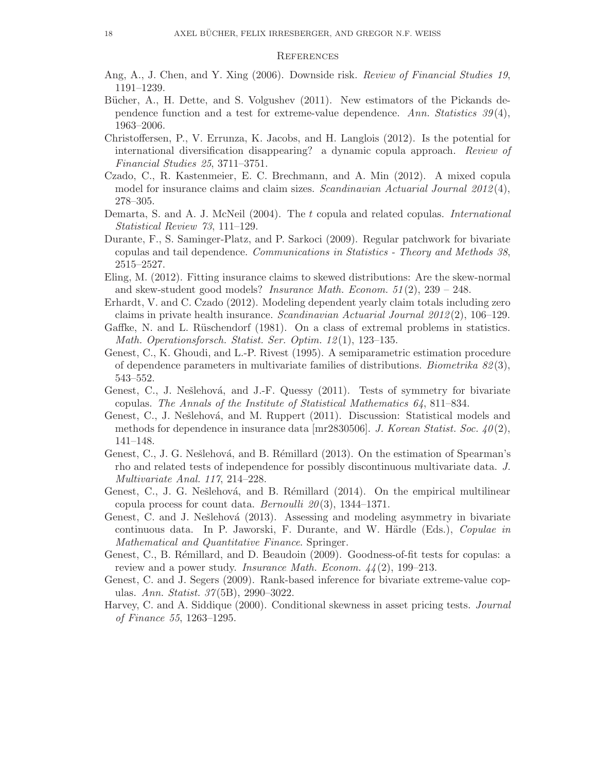### **REFERENCES**

- <span id="page-18-16"></span><span id="page-18-4"></span>Ang, A., J. Chen, and Y. Xing (2006). Downside risk. Review of Financial Studies 19, 1191–1239.
- <span id="page-18-17"></span>Bücher, A., H. Dette, and S. Volgushev (2011). New estimators of the Pickands dependence function and a test for extreme-value dependence. Ann. Statistics  $39(4)$ , 1963–2006.
- <span id="page-18-15"></span><span id="page-18-3"></span>Christoffersen, P., V. Errunza, K. Jacobs, and H. Langlois (2012). Is the potential for international diversification disappearing? a dynamic copula approach. Review of Financial Studies 25, 3711–3751.
- <span id="page-18-6"></span>Czado, C., R. Kastenmeier, E. C. Brechmann, and A. Min (2012). A mixed copula model for insurance claims and claim sizes. Scandinavian Actuarial Journal 2012(4), 278–305.
- <span id="page-18-11"></span>Demarta, S. and A. J. McNeil (2004). The t copula and related copulas. International Statistical Review 73, 111–129.
- <span id="page-18-13"></span>Durante, F., S. Saminger-Platz, and P. Sarkoci (2009). Regular patchwork for bivariate copulas and tail dependence. Communications in Statistics - Theory and Methods 38, 2515–2527.
- <span id="page-18-10"></span>Eling, M. (2012). Fitting insurance claims to skewed distributions: Are the skew-normal and skew-student good models? *Insurance Math. Econom.*  $51(2)$ ,  $239 - 248$ .
- <span id="page-18-19"></span><span id="page-18-8"></span>Erhardt, V. and C. Czado (2012). Modeling dependent yearly claim totals including zero claims in private health insurance. Scandinavian Actuarial Journal  $2012(2)$ , 106–129.
- <span id="page-18-0"></span>Gaffke, N. and L. Rüschendorf (1981). On a class of extremal problems in statistics. Math. Operationsforsch. Statist. Ser. Optim. 12 (1), 123–135.
- <span id="page-18-5"></span>Genest, C., K. Ghoudi, and L.-P. Rivest (1995). A semiparametric estimation procedure of dependence parameters in multivariate families of distributions. Biometrika  $82(3)$ , 543–552.
- <span id="page-18-2"></span>Genest, C., J. Nešlehová, and J.-F. Quessy (2011). Tests of symmetry for bivariate copulas. The Annals of the Institute of Statistical Mathematics 64, 811–834.
- <span id="page-18-7"></span><span id="page-18-1"></span>Genest, C., J. Nešlehová, and M. Ruppert (2011). Discussion: Statistical models and methods for dependence in insurance data  $[\text{mr}2830506]$ . J. Korean Statist. Soc. 40(2), 141–148.
- <span id="page-18-20"></span>Genest, C., J. G. Nešlehová, and B. Rémillard (2013). On the estimation of Spearman's rho and related tests of independence for possibly discontinuous multivariate data. J. Multivariate Anal. 117, 214–228.
- <span id="page-18-12"></span>Genest, C., J. G. Nešlehová, and B. Rémillard (2014). On the empirical multilinear copula process for count data. *Bernoulli*  $20(3)$ , 1344–1371.
- <span id="page-18-9"></span>Genest, C. and J. Nešlehová (2013). Assessing and modeling asymmetry in bivariate continuous data. In P. Jaworski, F. Durante, and W. Härdle (Eds.), Copulae in Mathematical and Quantitative Finance. Springer.
- <span id="page-18-14"></span>Genest, C., B. Rémillard, and D. Beaudoin (2009). Goodness-of-fit tests for copulas: a review and a power study. *Insurance Math. Econom.*  $44(2)$ , 199–213.
- <span id="page-18-18"></span>Genest, C. and J. Segers (2009). Rank-based inference for bivariate extreme-value copulas. Ann. Statist. 37 (5B), 2990–3022.
- Harvey, C. and A. Siddique (2000). Conditional skewness in asset pricing tests. Journal of Finance 55, 1263–1295.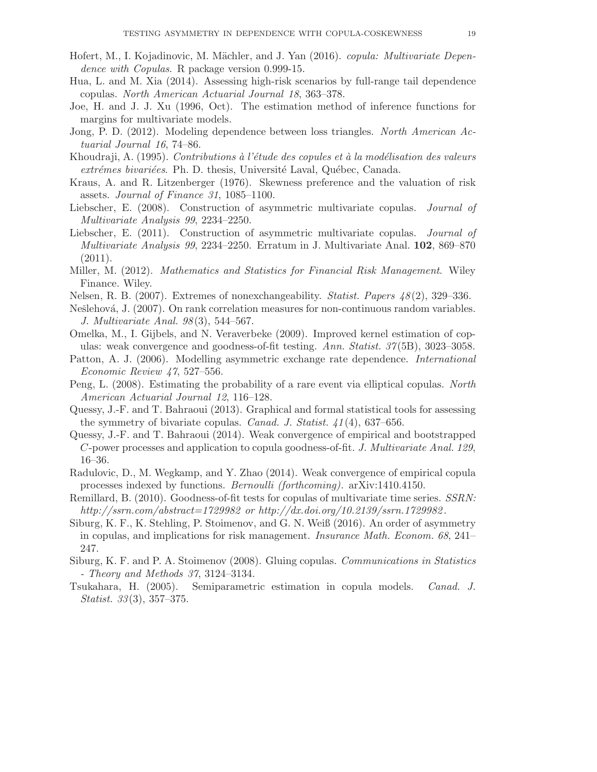- Hofert, M., I. Kojadinovic, M. Mächler, and J. Yan (2016). *copula: Multivariate Depen*dence with Copulas. R package version 0.999-15.
- Hua, L. and M. Xia (2014). Assessing high-risk scenarios by full-range tail dependence copulas. North American Actuarial Journal 18, 363–378.
- Joe, H. and J. J. Xu (1996, Oct). The estimation method of inference functions for margins for multivariate models.
- Jong, P. D. (2012). Modeling dependence between loss triangles. North American Actuarial Journal 16, 74–86.
- Khoudraji, A. (1995). Contributions à l'étude des copules et à la modélisation des valeurs extrémes bivariées. Ph. D. thesis, Université Laval, Québec, Canada.
- Kraus, A. and R. Litzenberger (1976). Skewness preference and the valuation of risk assets. Journal of Finance 31, 1085–1100.
- Liebscher, E. (2008). Construction of asymmetric multivariate copulas. Journal of Multivariate Analysis 99, 2234–2250.
- Liebscher, E. (2011). Construction of asymmetric multivariate copulas. *Journal of* Multivariate Analysis 99, 2234–2250. Erratum in J. Multivariate Anal. 102, 869–870  $(2011).$
- Miller, M. (2012). Mathematics and Statistics for Financial Risk Management. Wiley Finance. Wiley.
- Nelsen, R. B. (2007). Extremes of nonexchangeability. Statist. Papers 48 (2), 329–336.
- Nešlehová, J. (2007). On rank correlation measures for non-continuous random variables. J. Multivariate Anal. 98(3), 544–567.
- Omelka, M., I. Gijbels, and N. Veraverbeke (2009). Improved kernel estimation of copulas: weak convergence and goodness-of-fit testing. Ann. Statist. 37 (5B), 3023–3058.
- Patton, A. J. (2006). Modelling asymmetric exchange rate dependence. International Economic Review 47, 527–556.
- Peng, L. (2008). Estimating the probability of a rare event via elliptical copulas. North American Actuarial Journal 12, 116–128.
- Quessy, J.-F. and T. Bahraoui (2013). Graphical and formal statistical tools for assessing the symmetry of bivariate copulas. Canad. J. Statist. 41 (4), 637–656.
- Quessy, J.-F. and T. Bahraoui (2014). Weak convergence of empirical and bootstrapped C-power processes and application to copula goodness-of-fit. J. Multivariate Anal. 129, 16–36.
- Radulovic, D., M. Wegkamp, and Y. Zhao (2014). Weak convergence of empirical copula processes indexed by functions. Bernoulli (forthcoming). arXiv:1410.4150.
- Remillard, B. (2010). Goodness-of-fit tests for copulas of multivariate time series. SSRN: http://ssrn.com/abstract=1729982 or http://dx.doi.org/10.2139/ssrn.1729982.
- Siburg, K. F., K. Stehling, P. Stoimenov, and G. N. Weiß (2016). An order of asymmetry in copulas, and implications for risk management. Insurance Math. Econom. 68, 241– 247.
- Siburg, K. F. and P. A. Stoimenov (2008). Gluing copulas. Communications in Statistics - Theory and Methods 37, 3124–3134.
- Tsukahara, H. (2005). Semiparametric estimation in copula models. Canad. J. *Statist.*  $33(3)$ ,  $357-375$ .